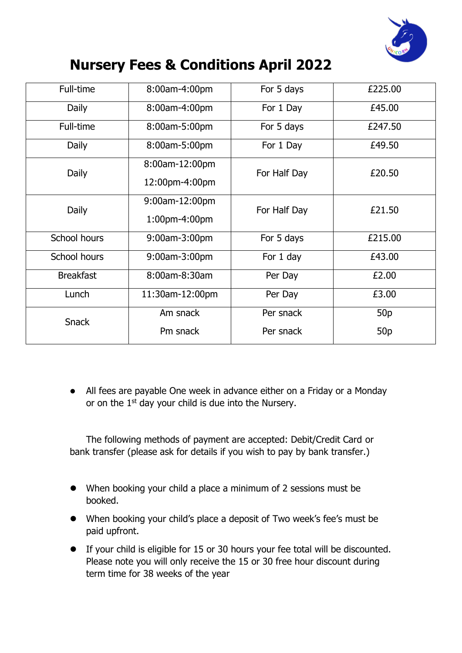

## **Nursery Fees & Conditions April 2022**

| Full-time           | 8:00am-4:00pm   | For 5 days   | £225.00         |
|---------------------|-----------------|--------------|-----------------|
| Daily               | 8:00am-4:00pm   | For 1 Day    | £45.00          |
| Full-time           | 8:00am-5:00pm   | For 5 days   | £247.50         |
| Daily               | 8:00am-5:00pm   | For 1 Day    | £49.50          |
| Daily               | 8:00am-12:00pm  | For Half Day | £20.50          |
|                     | 12:00pm-4:00pm  |              |                 |
| Daily               | 9:00am-12:00pm  | For Half Day | £21.50          |
|                     | 1:00pm-4:00pm   |              |                 |
| School hours        | 9:00am-3:00pm   | For 5 days   | £215.00         |
| <b>School hours</b> | 9:00am-3:00pm   | For 1 day    | £43.00          |
| <b>Breakfast</b>    | 8:00am-8:30am   | Per Day      | £2.00           |
| Lunch               | 11:30am-12:00pm | Per Day      | £3.00           |
| <b>Snack</b>        | Am snack        | Per snack    | 50 <sub>p</sub> |
|                     | Pm snack        | Per snack    | 50 <sub>p</sub> |

⚫ All fees are payable One week in advance either on a Friday or a Monday or on the 1<sup>st</sup> day your child is due into the Nursery.

The following methods of payment are accepted: Debit/Credit Card or bank transfer (please ask for details if you wish to pay by bank transfer.)

- ⚫ When booking your child a place a minimum of 2 sessions must be booked.
- ⚫ When booking your child's place a deposit of Two week's fee's must be paid upfront.
- ⚫ If your child is eligible for 15 or 30 hours your fee total will be discounted. Please note you will only receive the 15 or 30 free hour discount during term time for 38 weeks of the year